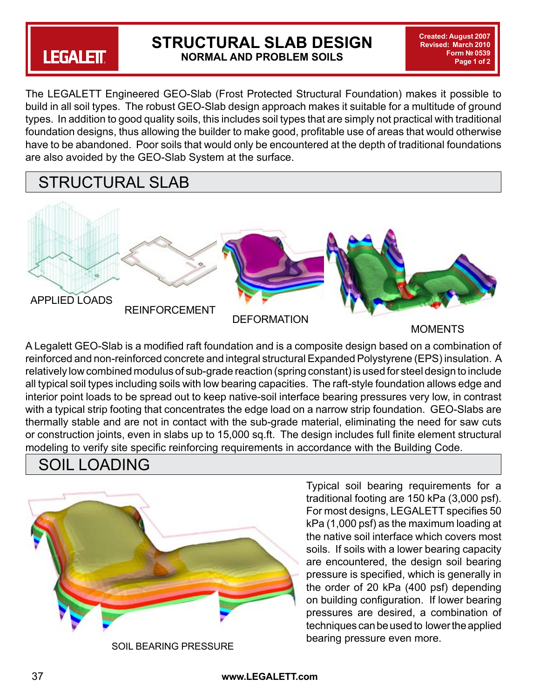# **LEGALETT**

### **STRUCTURAL SLAB DESIGN NORMAL AND PROBLEM SOILS**

**Created: August 2007 Revised: March 2010 Form № 0539 Page 1 of 2**

The LEGALETT Engineered GEO-Slab (Frost Protected Structural Foundation) makes it possible to build in all soil types. The robust GEO-Slab design approach makes it suitable for a multitude of ground types. In addition to good quality soils, this includes soil types that are simply not practical with traditional foundation designs, thus allowing the builder to make good, profitable use of areas that would otherwise have to be abandoned. Poor soils that would only be encountered at the depth of traditional foundations are also avoided by the GEO-Slab System at the surface.

### STRUCTURAL SLAB



MOMENTS

A Legalett GEO-Slab is a modified raft foundation and is a composite design based on a combination of reinforced and non-reinforced concrete and integral structural Expanded Polystyrene (EPS) insulation. A relatively low combined modulus of sub-grade reaction (spring constant) is used for steel design to include all typical soil types including soils with low bearing capacities. The raft-style foundation allows edge and interior point loads to be spread out to keep native-soil interface bearing pressures very low, in contrast with a typical strip footing that concentrates the edge load on a narrow strip foundation. GEO-Slabs are thermally stable and are not in contact with the sub-grade material, eliminating the need for saw cuts or construction joints, even in slabs up to 15,000 sq.ft. The design includes full finite element structural modeling to verify site specific reinforcing requirements in accordance with the Building Code.

### SOIL LOADING



SOIL BEARING PRESSURE

Typical soil bearing requirements for a traditional footing are 150 kPa (3,000 psf). For most designs, LEGALETT specifies 50 kPa (1,000 psf) as the maximum loading at the native soil interface which covers most soils. If soils with a lower bearing capacity are encountered, the design soil bearing pressure is specified, which is generally in the order of 20 kPa (400 psf) depending on building configuration. If lower bearing pressures are desired, a combination of techniques can be used to lower the applied bearing pressure even more.